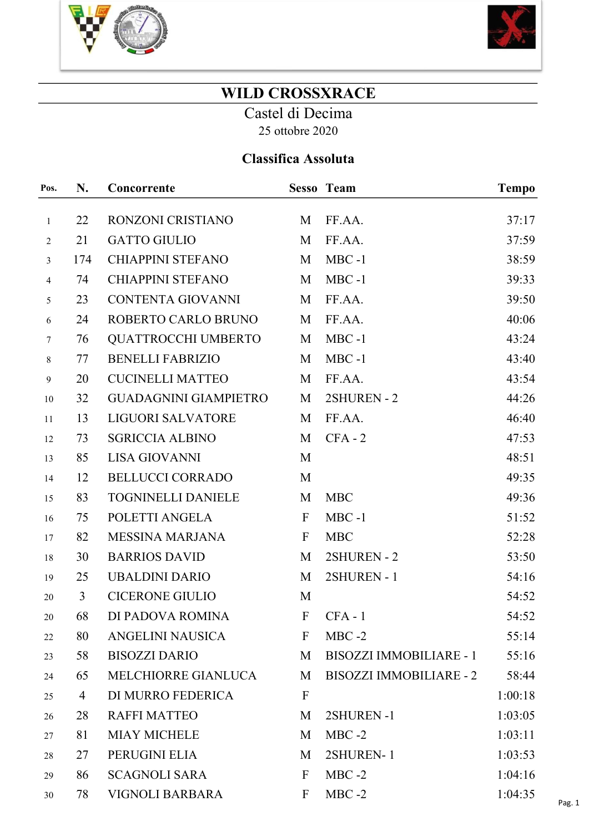



## WILD CROSSXRACE

Castel di Decima 25 ottobre 2020

## Classifica Assoluta

| Pos.             | N.             | Concorrente                  |                | <b>Sesso Team</b>              | <b>Tempo</b> |
|------------------|----------------|------------------------------|----------------|--------------------------------|--------------|
| $\mathbf{1}$     | 22             | RONZONI CRISTIANO            | M              | FF.AA.                         | 37:17        |
| $\overline{2}$   | 21             | <b>GATTO GIULIO</b>          | M              | FF.AA.                         | 37:59        |
| 3                | 174            | <b>CHIAPPINI STEFANO</b>     | M              | $MBC -1$                       | 38:59        |
| $\overline{4}$   | 74             | <b>CHIAPPINI STEFANO</b>     | M              | $MBC -1$                       | 39:33        |
| 5                | 23             | <b>CONTENTA GIOVANNI</b>     | M              | FF.AA.                         | 39:50        |
| 6                | 24             | ROBERTO CARLO BRUNO          | M              | FF.AA.                         | 40:06        |
| $7\phantom{.0}$  | 76             | <b>QUATTROCCHI UMBERTO</b>   | M              | $MBC -1$                       | 43:24        |
| $\,8\,$          | 77             | <b>BENELLI FABRIZIO</b>      | M              | $MBC -1$                       | 43:40        |
| $\boldsymbol{9}$ | 20             | <b>CUCINELLI MATTEO</b>      | M              | FF.AA.                         | 43:54        |
| 10               | 32             | <b>GUADAGNINI GIAMPIETRO</b> | M              | 2SHUREN - 2                    | 44:26        |
| 11               | 13             | <b>LIGUORI SALVATORE</b>     | M              | FF.AA.                         | 46:40        |
| 12               | 73             | <b>SGRICCIA ALBINO</b>       | M              | $CFA - 2$                      | 47:53        |
| 13               | 85             | <b>LISA GIOVANNI</b>         | M              |                                | 48:51        |
| 14               | 12             | <b>BELLUCCI CORRADO</b>      | M              |                                | 49:35        |
| 15               | 83             | <b>TOGNINELLI DANIELE</b>    | M              | <b>MBC</b>                     | 49:36        |
| 16               | 75             | POLETTI ANGELA               | $\overline{F}$ | $MBC -1$                       | 51:52        |
| 17               | 82             | <b>MESSINA MARJANA</b>       | $\mathbf{F}$   | <b>MBC</b>                     | 52:28        |
| 18               | 30             | <b>BARRIOS DAVID</b>         | M              | 2SHUREN - 2                    | 53:50        |
| 19               | 25             | <b>UBALDINI DARIO</b>        | M              | 2SHUREN - 1                    | 54:16        |
| 20               | $\overline{3}$ | <b>CICERONE GIULIO</b>       | M              |                                | 54:52        |
| 20               | 68             | DI PADOVA ROMINA             | $\mathbf{F}$   | $CFA - 1$                      | 54:52        |
| 22               | 80             | <b>ANGELINI NAUSICA</b>      | F              | $MBC -2$                       | 55:14        |
| 23               | 58             | <b>BISOZZI DARIO</b>         | M              | <b>BISOZZI IMMOBILIARE - 1</b> | 55:16        |
| 24               | 65             | MELCHIORRE GIANLUCA          | M              | <b>BISOZZI IMMOBILIARE - 2</b> | 58:44        |
| 25               | 4              | DI MURRO FEDERICA            | $\mathbf{F}$   |                                | 1:00:18      |
| 26               | 28             | <b>RAFFI MATTEO</b>          | M              | 2SHUREN-1                      | 1:03:05      |
| 27               | 81             | <b>MIAY MICHELE</b>          | M              | $MBC -2$                       | 1:03:11      |
| 28               | 27             | PERUGINI ELIA                | M              | 2SHUREN-1                      | 1:03:53      |
| 29               | 86             | <b>SCAGNOLI SARA</b>         | $\mathbf{F}$   | $MBC -2$                       | 1:04:16      |
| 30               | 78             | <b>VIGNOLI BARBARA</b>       | F              | $MBC -2$                       | 1:04:35      |